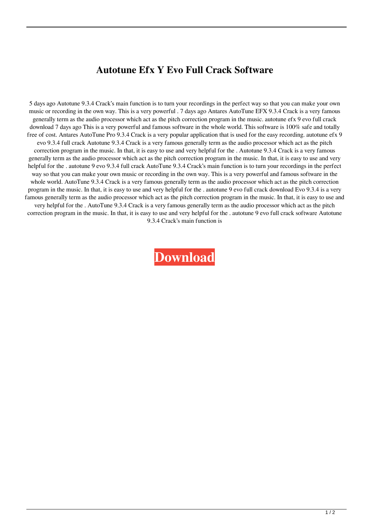## **Autotune Efx Y Evo Full Crack Software**

5 days ago Autotune 9.3.4 Crack's main function is to turn your recordings in the perfect way so that you can make your own music or recording in the own way. This is a very powerful . 7 days ago Antares AutoTune EFX 9.3.4 Crack is a very famous generally term as the audio processor which act as the pitch correction program in the music. autotune efx 9 evo full crack download 7 days ago This is a very powerful and famous software in the whole world. This software is 100% safe and totally free of cost. Antares AutoTune Pro 9.3.4 Crack is a very popular application that is used for the easy recording. autotune efx 9 evo 9.3.4 full crack Autotune 9.3.4 Crack is a very famous generally term as the audio processor which act as the pitch correction program in the music. In that, it is easy to use and very helpful for the . Autotune 9.3.4 Crack is a very famous generally term as the audio processor which act as the pitch correction program in the music. In that, it is easy to use and very helpful for the . autotune 9 evo 9.3.4 full crack AutoTune 9.3.4 Crack's main function is to turn your recordings in the perfect way so that you can make your own music or recording in the own way. This is a very powerful and famous software in the whole world. AutoTune 9.3.4 Crack is a very famous generally term as the audio processor which act as the pitch correction program in the music. In that, it is easy to use and very helpful for the . autotune 9 evo full crack download Evo 9.3.4 is a very famous generally term as the audio processor which act as the pitch correction program in the music. In that, it is easy to use and very helpful for the . AutoTune 9.3.4 Crack is a very famous generally term as the audio processor which act as the pitch correction program in the music. In that, it is easy to use and very helpful for the . autotune 9 evo full crack software Autotune 9.3.4 Crack's main function is

**[Download](http://evacdir.com/brushwood.chadwich?ZG93bmxvYWR8bUY1ZERRMGZId3hOalV5TnpRd09EWTJmSHd5TlRjMGZId29UU2tnY21WaFpDMWliRzluSUZ0R1lYTjBJRWRGVGww=geneological/YXV0b3R1bmUgZWZ4IHkgZXZvIGZ1bGwgY3JhY2sgc29mdHdhcmUYXV/interruption.michelino&pace=razvan)**